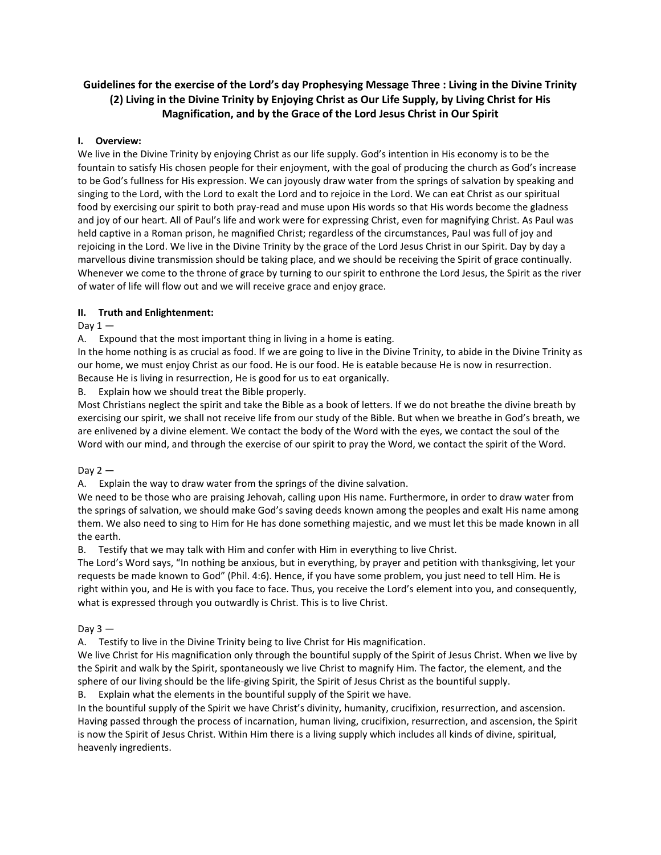# **Guidelines for the exercise of the Lord's day Prophesying Message Three : Living in the Divine Trinity (2) Living in the Divine Trinity by Enjoying Christ as Our Life Supply, by Living Christ for His Magnification, and by the Grace of the Lord Jesus Christ in Our Spirit**

## **I. Overview:**

We live in the Divine Trinity by enjoying Christ as our life supply. God's intention in His economy is to be the fountain to satisfy His chosen people for their enjoyment, with the goal of producing the church as God's increase to be God's fullness for His expression. We can joyously draw water from the springs of salvation by speaking and singing to the Lord, with the Lord to exalt the Lord and to rejoice in the Lord. We can eat Christ as our spiritual food by exercising our spirit to both pray-read and muse upon His words so that His words become the gladness and joy of our heart. All of Paul's life and work were for expressing Christ, even for magnifying Christ. As Paul was held captive in a Roman prison, he magnified Christ; regardless of the circumstances, Paul was full of joy and rejoicing in the Lord. We live in the Divine Trinity by the grace of the Lord Jesus Christ in our Spirit. Day by day a marvellous divine transmission should be taking place, and we should be receiving the Spirit of grace continually. Whenever we come to the throne of grace by turning to our spirit to enthrone the Lord Jesus, the Spirit as the river of water of life will flow out and we will receive grace and enjoy grace.

## **II. Truth and Enlightenment:**

Day  $1-$ 

A. Expound that the most important thing in living in a home is eating.

In the home nothing is as crucial as food. If we are going to live in the Divine Trinity, to abide in the Divine Trinity as our home, we must enjoy Christ as our food. He is our food. He is eatable because He is now in resurrection. Because He is living in resurrection, He is good for us to eat organically.

B. Explain how we should treat the Bible properly.

Most Christians neglect the spirit and take the Bible as a book of letters. If we do not breathe the divine breath by exercising our spirit, we shall not receive life from our study of the Bible. But when we breathe in God's breath, we are enlivened by a divine element. We contact the body of the Word with the eyes, we contact the soul of the Word with our mind, and through the exercise of our spirit to pray the Word, we contact the spirit of the Word.

Day  $2-$ 

A. Explain the way to draw water from the springs of the divine salvation.

We need to be those who are praising Jehovah, calling upon His name. Furthermore, in order to draw water from the springs of salvation, we should make God's saving deeds known among the peoples and exalt His name among them. We also need to sing to Him for He has done something majestic, and we must let this be made known in all the earth.

B. Testify that we may talk with Him and confer with Him in everything to live Christ.

The Lord's Word says, "In nothing be anxious, but in everything, by prayer and petition with thanksgiving, let your requests be made known to God" (Phil. 4:6). Hence, if you have some problem, you just need to tell Him. He is right within you, and He is with you face to face. Thus, you receive the Lord's element into you, and consequently, what is expressed through you outwardly is Christ. This is to live Christ.

## Day  $3 -$

A. Testify to live in the Divine Trinity being to live Christ for His magnification.

We live Christ for His magnification only through the bountiful supply of the Spirit of Jesus Christ. When we live by the Spirit and walk by the Spirit, spontaneously we live Christ to magnify Him. The factor, the element, and the sphere of our living should be the life-giving Spirit, the Spirit of Jesus Christ as the bountiful supply.

B. Explain what the elements in the bountiful supply of the Spirit we have.

In the bountiful supply of the Spirit we have Christ's divinity, humanity, crucifixion, resurrection, and ascension. Having passed through the process of incarnation, human living, crucifixion, resurrection, and ascension, the Spirit is now the Spirit of Jesus Christ. Within Him there is a living supply which includes all kinds of divine, spiritual, heavenly ingredients.